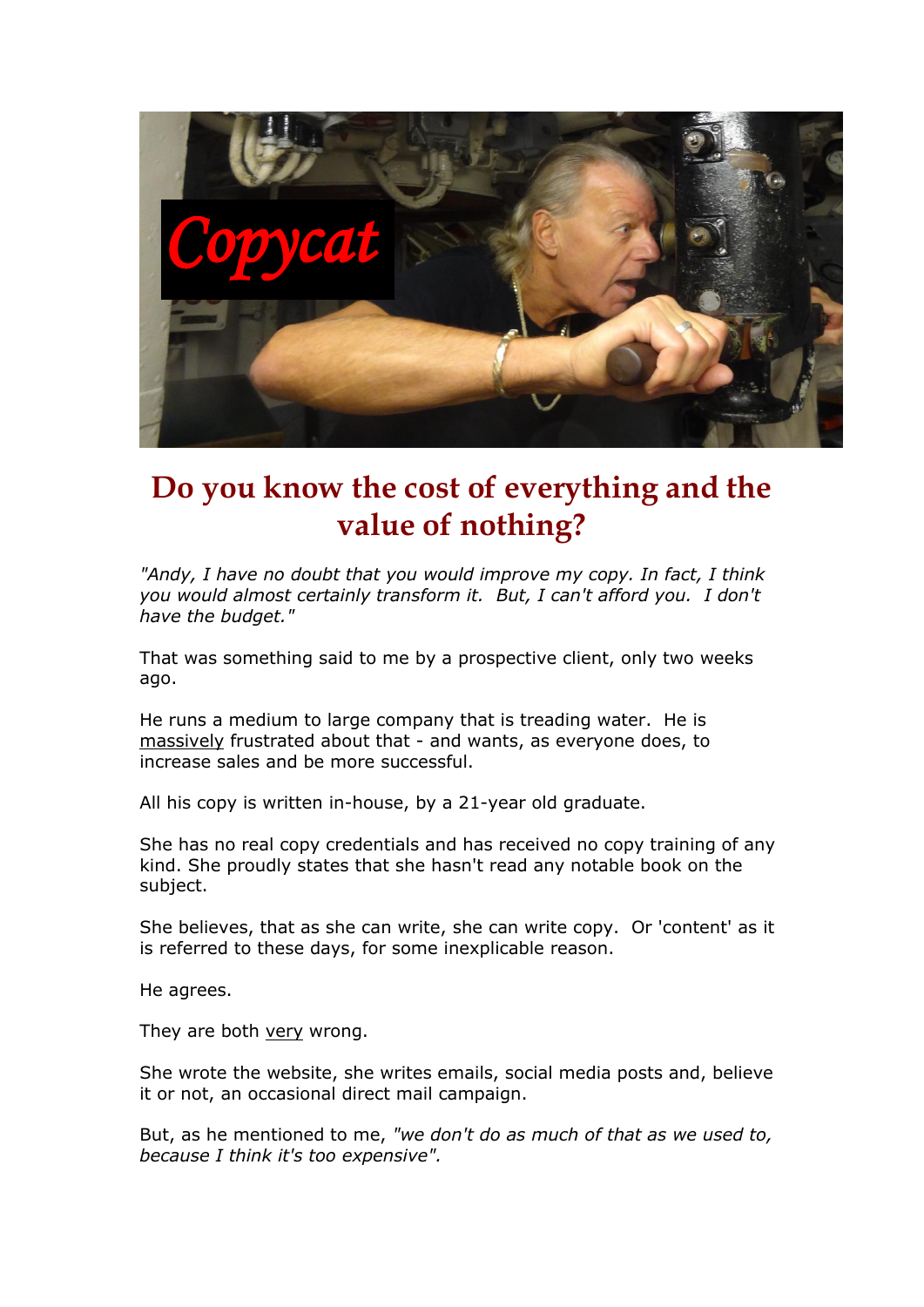

## **Do you know the cost of everything and the value of nothing?**

*"Andy, I have no doubt that you would improve my copy. In fact, I think you would almost certainly transform it. But, I can't afford you. I don't have the budget."*

That was something said to me by a prospective client, only two weeks ago.

He runs a medium to large company that is treading water. He is massively frustrated about that - and wants, as everyone does, to increase sales and be more successful.

All his copy is written in-house, by a 21-year old graduate.

She has no real copy credentials and has received no copy training of any kind. She proudly states that she hasn't read any notable book on the subject.

She believes, that as she can write, she can write copy. Or 'content' as it is referred to these days, for some inexplicable reason.

He agrees.

They are both very wrong.

She wrote the website, she writes emails, social media posts and, believe it or not, an occasional direct mail campaign.

But, as he mentioned to me, *"we don't do as much of that as we used to, because I think it's too expensive".*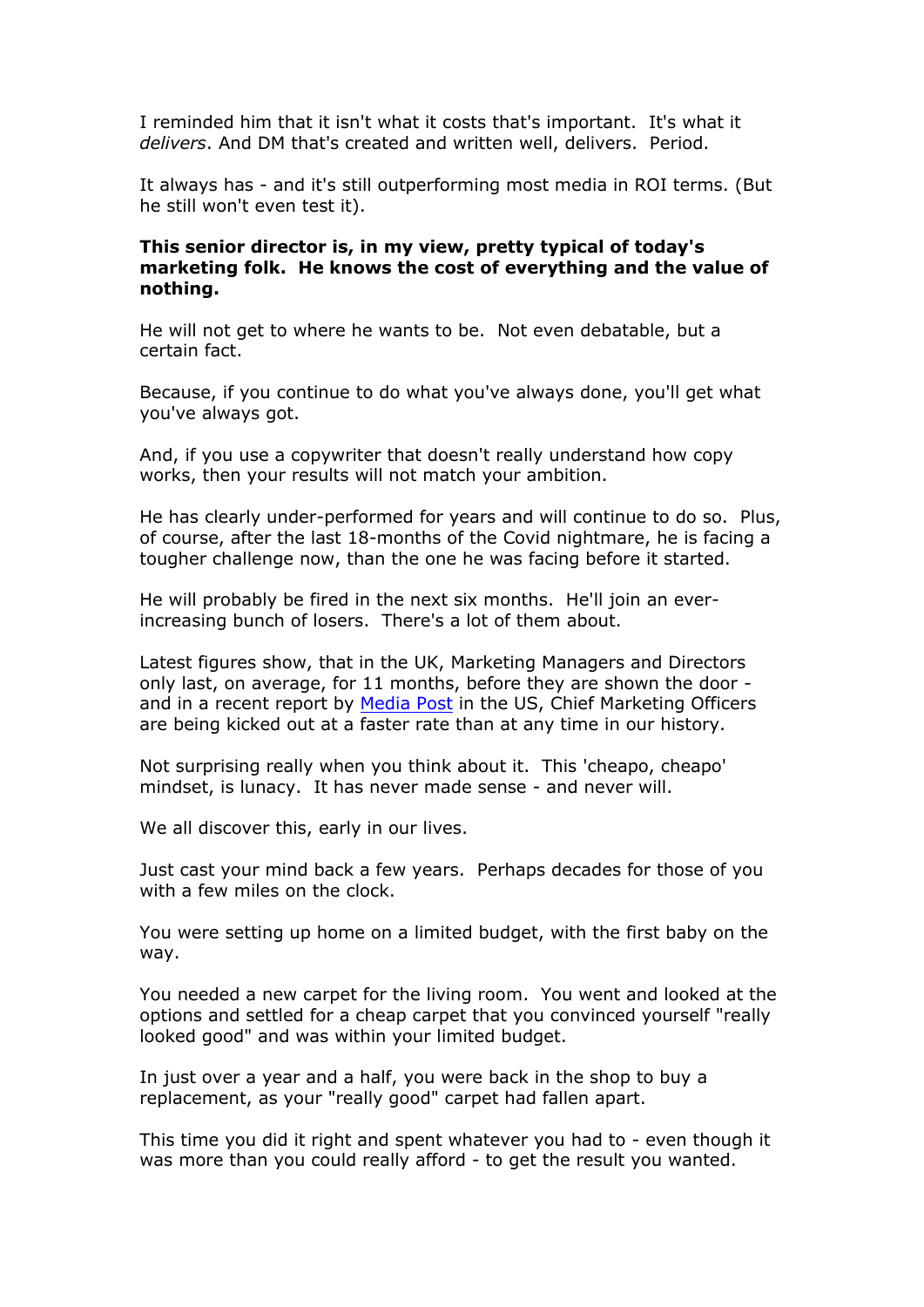I reminded him that it isn't what it costs that's important. It's what it *delivers*. And DM that's created and written well, delivers. Period.

It always has - and it's still outperforming most media in ROI terms. (But he still won't even test it).

## **This senior director is, in my view, pretty typical of today's marketing folk. He knows the cost of everything and the value of nothing.**

He will not get to where he wants to be. Not even debatable, but a certain fact.

Because, if you continue to do what you've always done, you'll get what you've always got.

And, if you use a copywriter that doesn't really understand how copy works, then your results will not match your ambition.

He has clearly under-performed for years and will continue to do so. Plus, of course, after the last 18-months of the Covid nightmare, he is facing a tougher challenge now, than the one he was facing before it started.

He will probably be fired in the next six months. He'll join an everincreasing bunch of losers. There's a lot of them about.

Latest figures show, that in the UK, Marketing Managers and Directors only last, on average, for 11 months, before they are shown the door and in a recent report by [Media Post](https://www.mediapost.com/publications/article/366502/cmo-tenure-hits-10-year-low.html) in the US, Chief Marketing Officers are being kicked out at a faster rate than at any time in our history.

Not surprising really when you think about it. This 'cheapo, cheapo' mindset, is lunacy. It has never made sense - and never will.

We all discover this, early in our lives.

Just cast your mind back a few years. Perhaps decades for those of you with a few miles on the clock.

You were setting up home on a limited budget, with the first baby on the way.

You needed a new carpet for the living room. You went and looked at the options and settled for a cheap carpet that you convinced yourself "really looked good" and was within your limited budget.

In just over a year and a half, you were back in the shop to buy a replacement, as your "really good" carpet had fallen apart.

This time you did it right and spent whatever you had to - even though it was more than you could really afford - to get the result you wanted.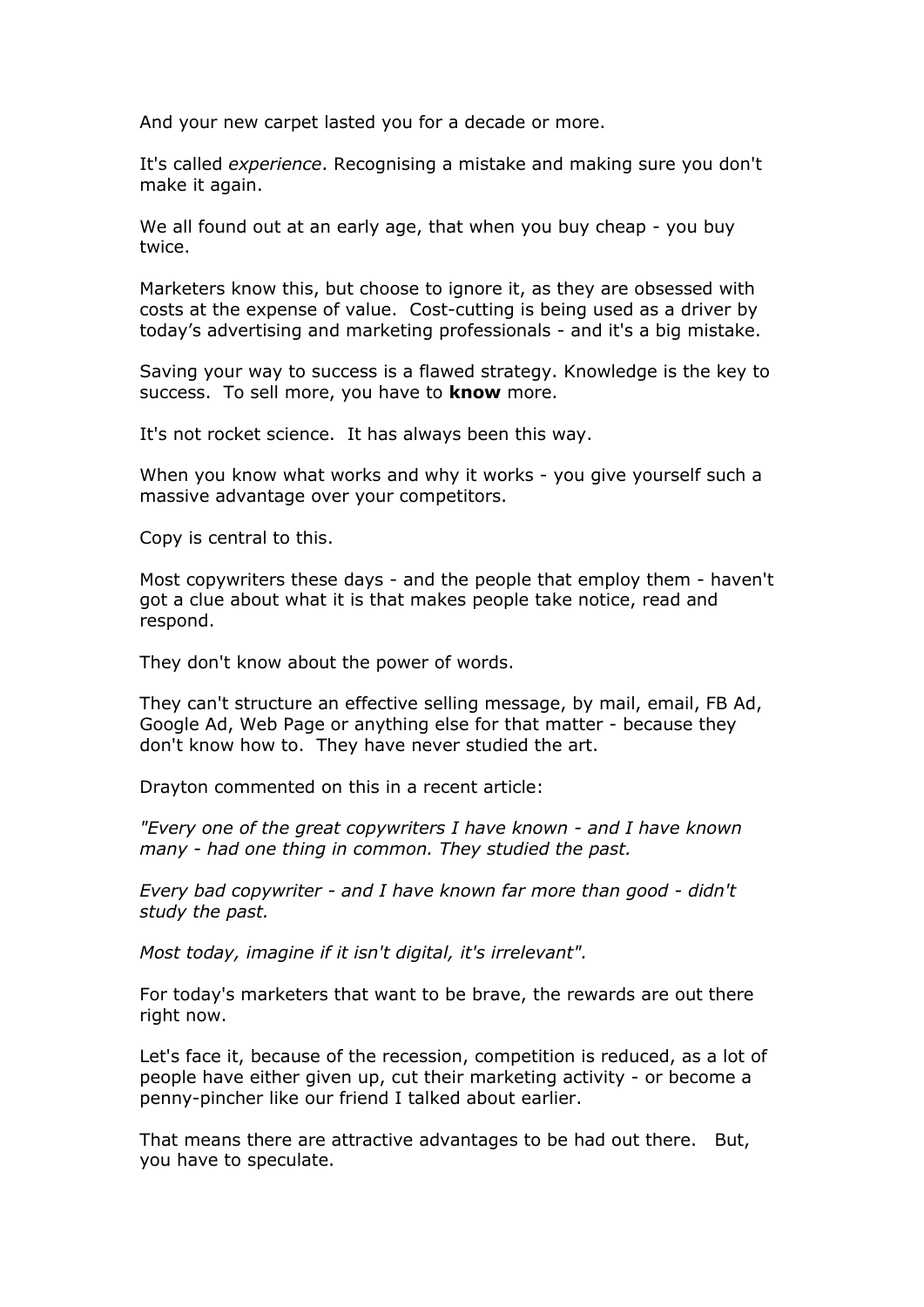And your new carpet lasted you for a decade or more.

It's called *experience*. Recognising a mistake and making sure you don't make it again.

We all found out at an early age, that when you buy cheap - you buy twice.

Marketers know this, but choose to ignore it, as they are obsessed with costs at the expense of value. Cost-cutting is being used as a driver by today's advertising and marketing professionals - and it's a big mistake.

Saving your way to success is a flawed strategy. Knowledge is the key to success. To sell more, you have to **know** more.

It's not rocket science. It has always been this way.

When you know what works and why it works - you give yourself such a massive advantage over your competitors.

Copy is central to this.

Most copywriters these days - and the people that employ them - haven't got a clue about what it is that makes people take notice, read and respond.

They don't know about the power of words.

They can't structure an effective selling message, by mail, email, FB Ad, Google Ad, Web Page or anything else for that matter - because they don't know how to. They have never studied the art.

Drayton commented on this in a recent article:

*"Every one of the great copywriters I have known - and I have known many - had one thing in common. They studied the past.*

*Every bad copywriter - and I have known far more than good - didn't study the past.* 

*Most today, imagine if it isn't digital, it's irrelevant".*

For today's marketers that want to be brave, the rewards are out there right now.

Let's face it, because of the recession, competition is reduced, as a lot of people have either given up, cut their marketing activity - or become a penny-pincher like our friend I talked about earlier.

That means there are attractive advantages to be had out there. But, you have to speculate.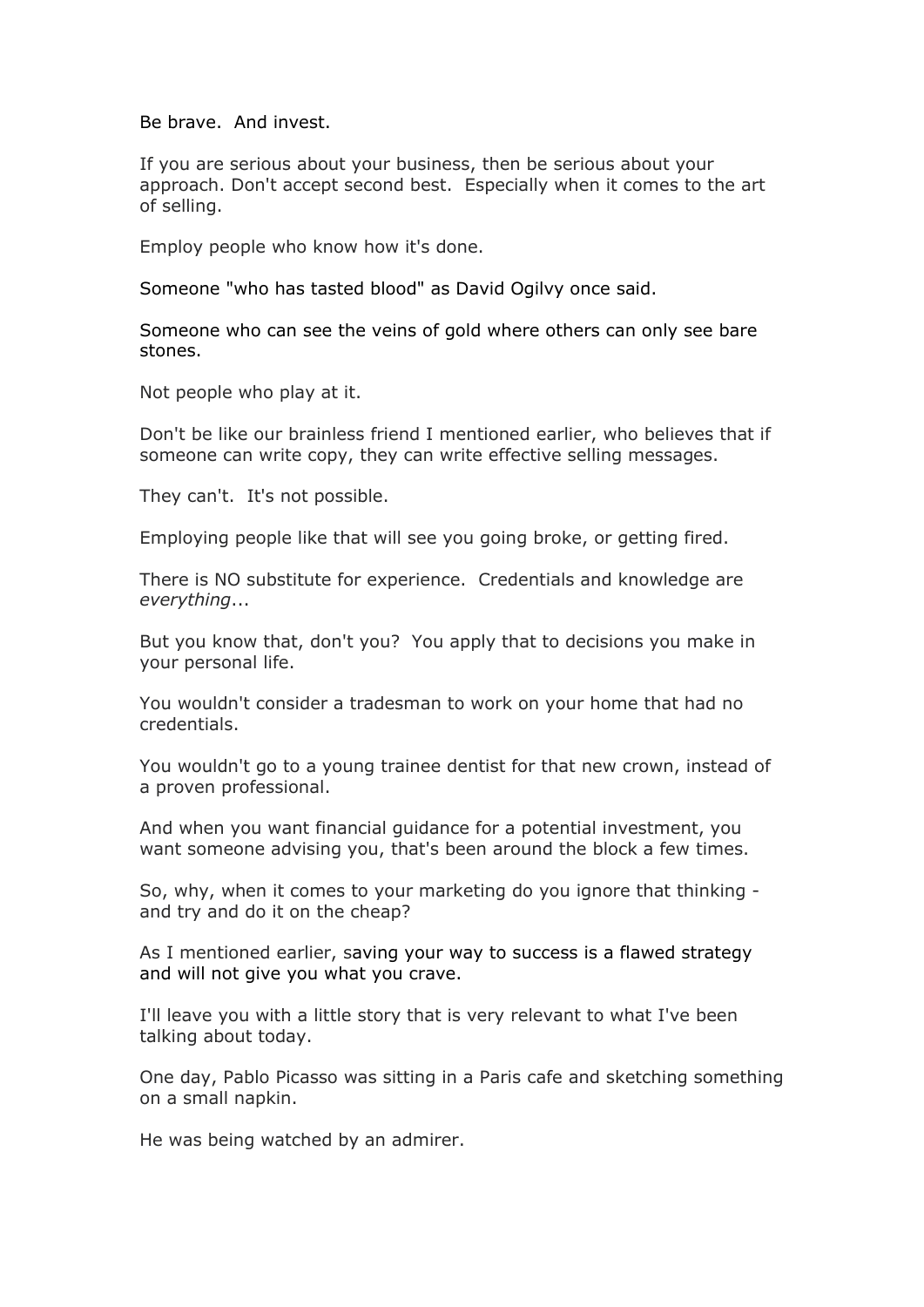Be brave. And invest.

If you are serious about your business, then be serious about your approach. Don't accept second best. Especially when it comes to the art of selling.

Employ people who know how it's done.

Someone "who has tasted blood" as David Ogilvy once said.

Someone who can see the veins of gold where others can only see bare stones.

Not people who play at it.

Don't be like our brainless friend I mentioned earlier, who believes that if someone can write copy, they can write effective selling messages.

They can't. It's not possible.

Employing people like that will see you going broke, or getting fired.

There is NO substitute for experience. Credentials and knowledge are *everything*...

But you know that, don't you? You apply that to decisions you make in your personal life.

You wouldn't consider a tradesman to work on your home that had no credentials.

You wouldn't go to a young trainee dentist for that new crown, instead of a proven professional.

And when you want financial guidance for a potential investment, you want someone advising you, that's been around the block a few times.

So, why, when it comes to your marketing do you ignore that thinking and try and do it on the cheap?

As I mentioned earlier, saving your way to success is a flawed strategy and will not give you what you crave.

I'll leave you with a little story that is very relevant to what I've been talking about today.

One day, Pablo Picasso was sitting in a Paris cafe and sketching something on a small napkin.

He was being watched by an admirer.